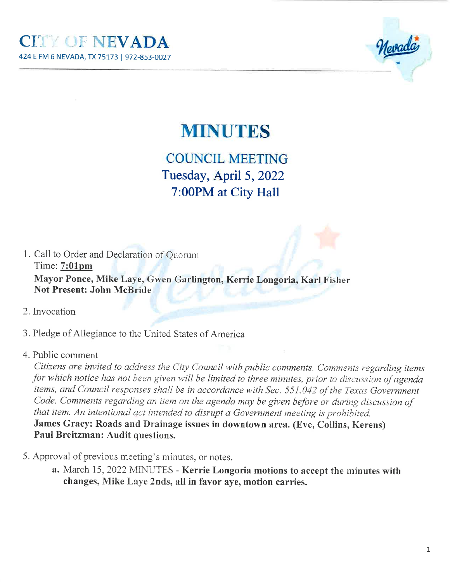

## **MINUTES**

COUNCIL MEETING Tuesday, April 5,20227:00PM at City Hall

1. Call to Order and Declaration of Quorum Time: 7:01pm Mayor Ponce, Mike Laye, Gwen Garlington, Kerrie Longoria, Karl FisherNot Present: John McBride

- 2. Invocation
- 3. Pledge of Allegiance to the United States of America
- 4. Public comment

 Cítizens are ínvited to address the City Council with publíc comments. Comments regarding itemsfor which notice has not been given will be limited to three minutes, prior to discussion of agenda items, and Council responses shall be in accordance with Sec. 551.042 of the Texas Government Code. Comments regarding an item on the agenda may be given before or during discussion of that item. An intentional act intended to disrupt a Government meeting is prohibited. James Gracy: Roads and Drainage issues in downtown area. (Eve, Collins, Kerens)Paul Breitzman: Audit questions.

- 5. Approval of previous meeting's minutes, or notes.
	- a. March 15, 2022 MINUTES Kerrie Longoria motions to accept the minutes with changes, Mike Laye 2nds, all in favor aye, motion carries.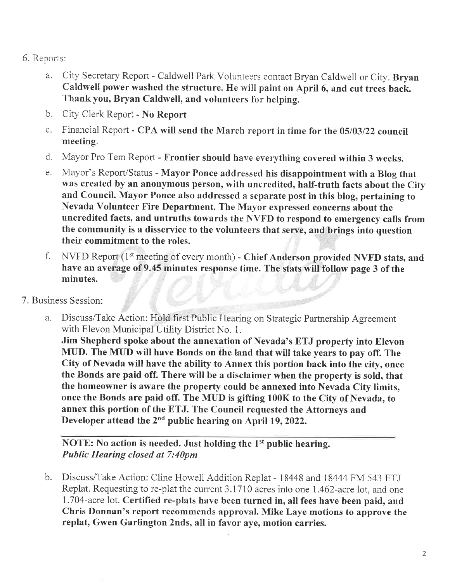- 6. Reports:
	- a. City Secretary Report Caldwell Park Volunteers contact Bryan Caldwell or City. Bryan Caldwell power washed the structure. He will paint on April 6, and cut trees back. Thank you, Bryan Caldwell, and volunteers for helping.
	- b. City Clerk Report No Report
	- c. Financial Report CPA will send the March report in time for the 05/03/22 council meeting.
	- d. Mayor Pro Tem Report Frontier should have everything covered within 3 weeks.
	- e. Mayor's Report/Status Mayor Ponce addressed his disappointment with a Blog that was created by an anonymous person, with uncredited, half-truth facts about the Cityand Council. Mayor Ponce also addressed a separate post in this blog, pertaining toNevada Volunteer Fire Department. The Mayor expressed concerns about the uncredited facts, and untruths towards the NVFD to respond to emergency calls fromthe community is a disservice to the volunteers that serve, and brings into questiontheir commitment to the roles.
	- f. NVFD Report (1st meeting of every month) Chief Anderson provided NVFD stats, and have an average of 9.45 minutes response time. The stats will follow page 3 of theminutes.
- 7. Business Session:
	- a. Discuss/Take Action: Hold first Public Hearing on Strategic Partnership Agreementwith Elevon Municipal Utility District No. 1.

Jim Shepherd spoke about the annexation of Nevada's ETJ property into Elevon MUD. The MIID will have Bonds on the land that will take years to pay off. The City of Nevada will have the ability to Annex this portion back into the cify, once the Bonds are paid off. There will be a disclaimer when the properfy is sold, that the homeowner is aware the properfy could be annexed into Nevada City limits,once the Bonds are paid off. The MUD is gifting 100K to the City of Nevada, to annex this portion of the ETJ. The Council requested the Attorneys andDeveloper attend the 2nd public hearing on April 19,2022.

NOTE: No action is needed. Just holding the 1<sup>st</sup> public hearing. Public Hearing closed øt 7:40pm

b. Discuss/Take Action: Cline Howell Addition Replat - 18448 and 18444 FM 543 ETJReplat. Requesting to re-plat the current 3.1710 acres into one 1.462-acre lot, and one 1.704-acre lot. Certified re-plats have been turned in, all fees have been paid, and Chris Donnan's report recommends approval. Mike Laye motions to approve thereplat, Gwen Garlington 2nds, all in favor aye, motion carries.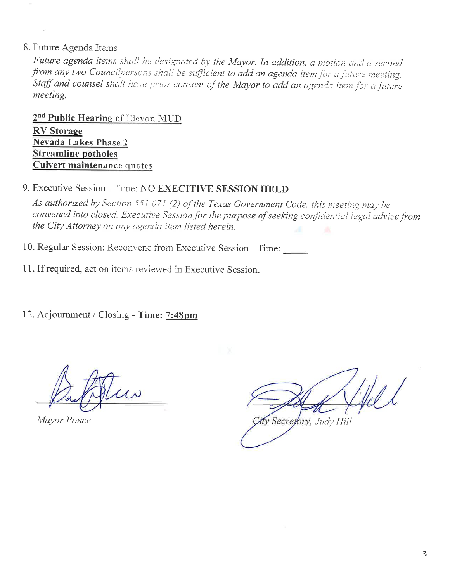### 8. Future Agenda Items

Future agenda items shall be designated by the Mayor. In addition, a motion and a second from any two Councilpersons shall be sufficient to add an agenda item for a future meeting. Staff and counsel shall have prior consent of the Mayor to add an agenda item for a future meeting.

2<sup>nd</sup> Public Hearing of Elevon MUD **RV** Storage **Nevada Lakes Phase 2 Streamline potholes Culvert maintenance quotes** 

## 9. Executive Session - Time: NO EXECITIVE SESSION HELD

As authorized by Section 551.071 (2) of the Texas Government Code, this meeting may be convened into closed. Executive Session for the purpose of seeking confidential legal advice from the City Attorney on any agenda item listed herein.

- 10. Regular Session: Reconvene from Executive Session Time:
- 11. If required, act on items reviewed in Executive Session.

12. Adjournment / Closing - Time: 7:48pm

Mayor Ponce

v Secretary, Judy Hill